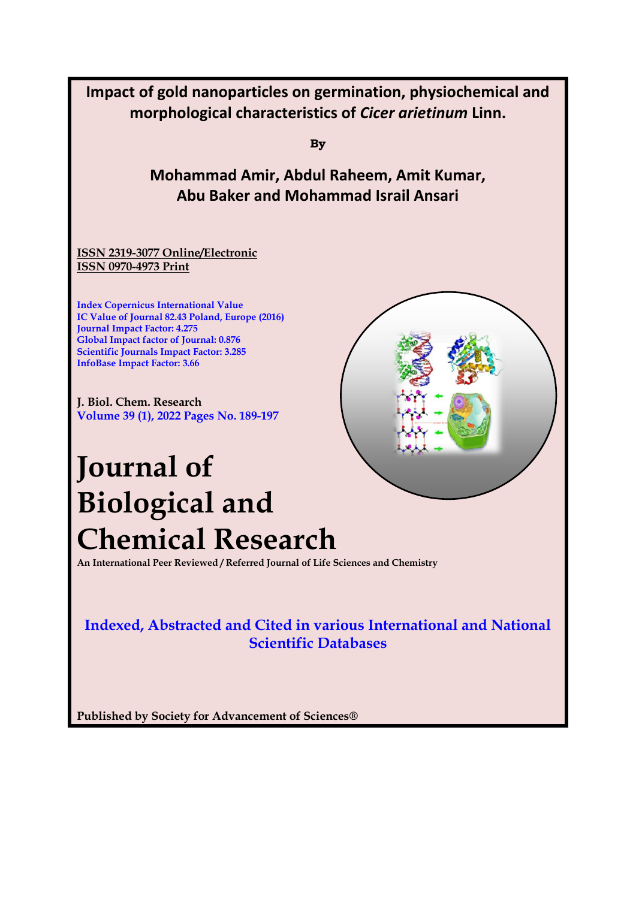

**Published by Society for Advancement of Sciences®**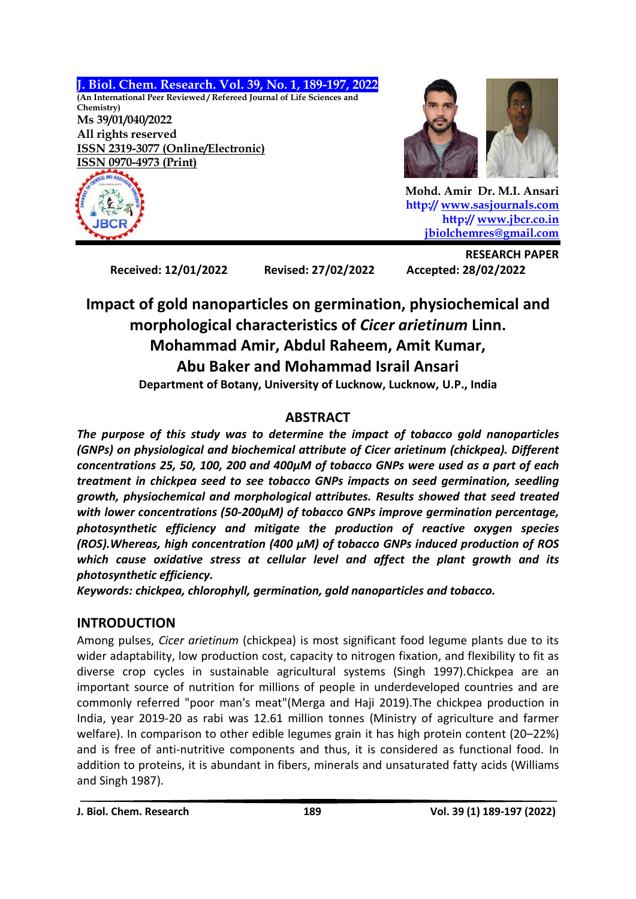



 **Mohd. Amir Dr. M.I. Ansari http:// [www.sasjournals.com](http://www.sasjournals.com/) http:/[/ www.jbcr.co.in](http://www.jbcr.co.in/) [jbiolchemres@gmail.com](mailto:jbiolchemres@gmail.com)**

**Received: 12/01/2022 Revised: 27/02/2022 Accepted: 28/02/2022**

**RESEARCH PAPER**

# **Impact of gold nanoparticles on germination, physiochemical and morphological characteristics of** *Cicer arietinum* **Linn. Mohammad Amir, Abdul Raheem, Amit Kumar, Abu Baker and Mohammad Israil Ansari**

**Department of Botany, University of Lucknow, Lucknow, U.P., India**

# **ABSTRACT**

*The purpose of this study was to determine the impact of tobacco gold nanoparticles (GNPs) on physiological and biochemical attribute of Cicer arietinum (chickpea). Different concentrations 25, 50, 100, 200 and 400µM of tobacco GNPs were used as a part of each treatment in chickpea seed to see tobacco GNPs impacts on seed germination, seedling growth, physiochemical and morphological attributes. Results showed that seed treated with lower concentrations (50-200µM) of tobacco GNPs improve germination percentage, photosynthetic efficiency and mitigate the production of reactive oxygen species (ROS).Whereas, high concentration (400 µM) of tobacco GNPs induced production of ROS which cause oxidative stress at cellular level and affect the plant growth and its photosynthetic efficiency.*

*Keywords: chickpea, chlorophyll, germination, gold nanoparticles and tobacco.*

# **INTRODUCTION**

Among pulses, *Cicer arietinum* (chickpea) is most significant food legume plants due to its wider adaptability, low production cost, capacity to nitrogen fixation, and flexibility to fit as diverse crop cycles in sustainable agricultural systems (Singh 1997).Chickpea are an important source of nutrition for millions of people in underdeveloped countries and are commonly referred "poor man's meat"(Merga and Haji 2019).The chickpea production in India, year 2019-20 as rabi was 12.61 million tonnes (Ministry of agriculture and farmer welfare). In comparison to other edible legumes grain it has high protein content (20–22%) and is free of anti-nutritive components and thus, it is considered as functional food. In addition to proteins, it is abundant in fibers, minerals and unsaturated fatty acids (Williams and Singh 1987).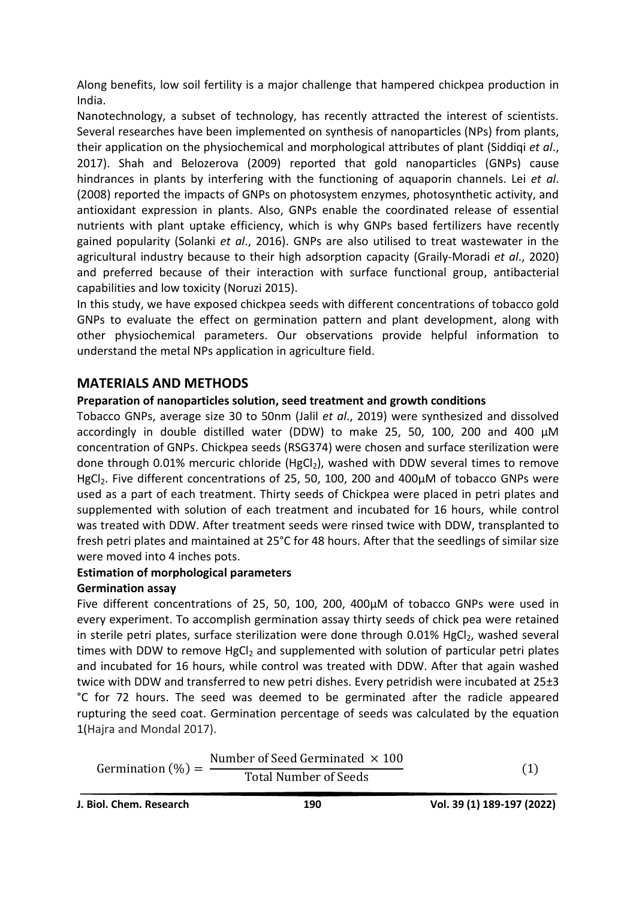Along benefits, low soil fertility is a major challenge that hampered chickpea production in India.

Nanotechnology, a subset of technology, has recently attracted the interest of scientists. Several researches have been implemented on synthesis of nanoparticles (NPs) from plants, their application on the physiochemical and morphological attributes of plant (Siddiqi *et al*., 2017). Shah and Belozerova (2009) reported that gold nanoparticles (GNPs) cause hindrances in plants by interfering with the functioning of aquaporin channels. Lei *et al*. (2008) reported the impacts of GNPs on photosystem enzymes, photosynthetic activity, and antioxidant expression in plants. Also, GNPs enable the coordinated release of essential nutrients with plant uptake efficiency, which is why GNPs based fertilizers have recently gained popularity (Solanki *et al*., 2016). GNPs are also utilised to treat wastewater in the agricultural industry because to their high adsorption capacity (Graily-Moradi *et al*., 2020) and preferred because of their interaction with surface functional group, antibacterial capabilities and low toxicity (Noruzi 2015).

In this study, we have exposed chickpea seeds with different concentrations of tobacco gold GNPs to evaluate the effect on germination pattern and plant development, along with other physiochemical parameters. Our observations provide helpful information to understand the metal NPs application in agriculture field.

## **MATERIALS AND METHODS**

#### **Preparation of nanoparticles solution, seed treatment and growth conditions**

Tobacco GNPs, average size 30 to 50nm (Jalil *et al*., 2019) were synthesized and dissolved accordingly in double distilled water (DDW) to make 25, 50, 100, 200 and 400 µM concentration of GNPs. Chickpea seeds (RSG374) were chosen and surface sterilization were done through 0.01% mercuric chloride (HgCl<sub>2</sub>), washed with DDW several times to remove HgCl<sub>2</sub>. Five different concentrations of 25, 50, 100, 200 and 400µM of tobacco GNPs were used as a part of each treatment. Thirty seeds of Chickpea were placed in petri plates and supplemented with solution of each treatment and incubated for 16 hours, while control was treated with DDW. After treatment seeds were rinsed twice with DDW, transplanted to fresh petri plates and maintained at 25°C for 48 hours. After that the seedlings of similar size were moved into 4 inches pots.

#### **Estimation of morphological parameters**

#### **Germination assay**

Five different concentrations of 25, 50, 100, 200, 400µM of tobacco GNPs were used in every experiment. To accomplish germination assay thirty seeds of chick pea were retained in sterile petri plates, surface sterilization were done through 0.01% HgCl<sub>2</sub>, washed several times with DDW to remove  $HgCl<sub>2</sub>$  and supplemented with solution of particular petri plates and incubated for 16 hours, while control was treated with DDW. After that again washed twice with DDW and transferred to new petri dishes. Every petridish were incubated at 25±3 °C for 72 hours. The seed was deemed to be germinated after the radicle appeared rupturing the seed coat. Germination percentage of seeds was calculated by the equation 1(Hajra and Mondal 2017).

| Germination $(\%) =$ | Number of Seed Germinated $\times$ 100 |  |
|----------------------|----------------------------------------|--|
|                      | <b>Total Number of Seeds</b>           |  |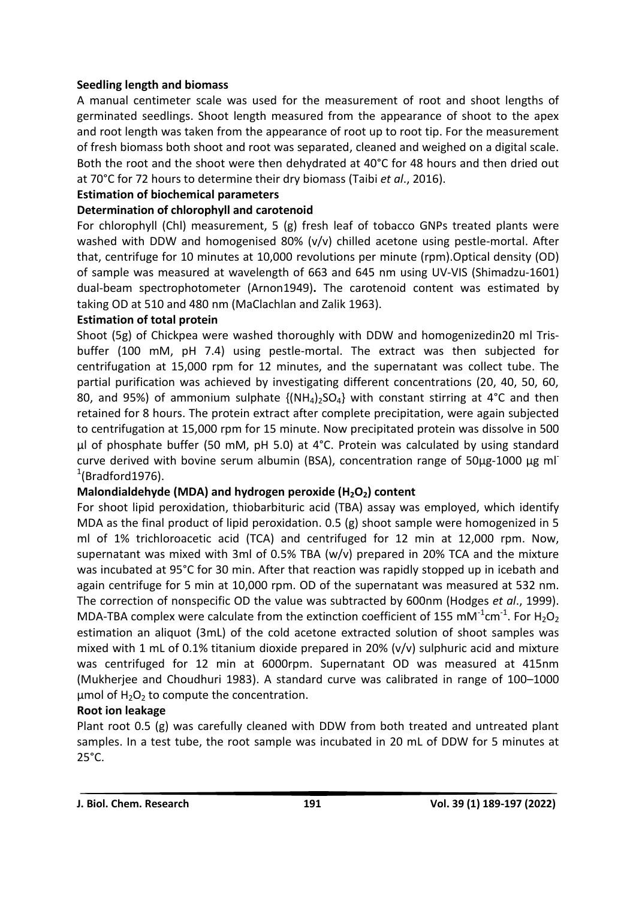#### **Seedling length and biomass**

A manual centimeter scale was used for the measurement of root and shoot lengths of germinated seedlings. Shoot length measured from the appearance of shoot to the apex and root length was taken from the appearance of root up to root tip. For the measurement of fresh biomass both shoot and root was separated, cleaned and weighed on a digital scale. Both the root and the shoot were then dehydrated at 40°C for 48 hours and then dried out at 70°C for 72 hours to determine their dry biomass (Taibi *et al*., 2016).

## **Estimation of biochemical parameters**

# **Determination of chlorophyll and carotenoid**

For chlorophyll (Chl) measurement, 5 (g) fresh leaf of tobacco GNPs treated plants were washed with DDW and homogenised 80% (v/v) chilled acetone using pestle-mortal. After that, centrifuge for 10 minutes at 10,000 revolutions per minute (rpm).Optical density (OD) of sample was measured at wavelength of 663 and 645 nm using UV-VIS (Shimadzu-1601) dual-beam spectrophotometer (Arnon1949)**.** The carotenoid content was estimated by taking OD at 510 and 480 nm (MaClachlan and Zalik 1963).

## **Estimation of total protein**

Shoot (5g) of Chickpea were washed thoroughly with DDW and homogenizedin20 ml Trisbuffer (100 mM, pH 7.4) using pestle-mortal. The extract was then subjected for centrifugation at 15,000 rpm for 12 minutes, and the supernatant was collect tube. The partial purification was achieved by investigating different concentrations (20, 40, 50, 60, 80, and 95%) of ammonium sulphate  $\{(\text{NH}_4)_2\text{SO}_4\}$  with constant stirring at 4°C and then retained for 8 hours. The protein extract after complete precipitation, were again subjected to centrifugation at 15,000 rpm for 15 minute. Now precipitated protein was dissolve in 500 µl of phosphate buffer (50 mM, pH 5.0) at 4°C. Protein was calculated by using standard curve derived with bovine serum albumin (BSA), concentration range of 50µg-1000 µg ml  $1$ (Bradford1976).

## **Malondialdehyde (MDA) and hydrogen peroxide (H2O2) content**

For shoot lipid peroxidation, thiobarbituric acid (TBA) assay was employed, which identify MDA as the final product of lipid peroxidation. 0.5 (g) shoot sample were homogenized in 5 ml of 1% trichloroacetic acid (TCA) and centrifuged for 12 min at 12,000 rpm. Now, supernatant was mixed with 3ml of 0.5% TBA (w/v) prepared in 20% TCA and the mixture was incubated at 95°C for 30 min. After that reaction was rapidly stopped up in icebath and again centrifuge for 5 min at 10,000 rpm. OD of the supernatant was measured at 532 nm. The correction of nonspecific OD the value was subtracted by 600nm (Hodges *et al*., 1999). MDA-TBA complex were calculate from the extinction coefficient of 155 mM<sup>-1</sup>cm<sup>-1</sup>. For H<sub>2</sub>O<sub>2</sub> estimation an aliquot (3mL) of the cold acetone extracted solution of shoot samples was mixed with 1 mL of 0.1% titanium dioxide prepared in 20% (v/v) sulphuric acid and mixture was centrifuged for 12 min at 6000rpm. Supernatant OD was measured at 415nm (Mukherjee and Choudhuri 1983). A standard curve was calibrated in range of 100–1000  $\mu$ mol of H<sub>2</sub>O<sub>2</sub> to compute the concentration.

## **Root ion leakage**

Plant root 0.5 (g) was carefully cleaned with DDW from both treated and untreated plant samples. In a test tube, the root sample was incubated in 20 mL of DDW for 5 minutes at 25°C.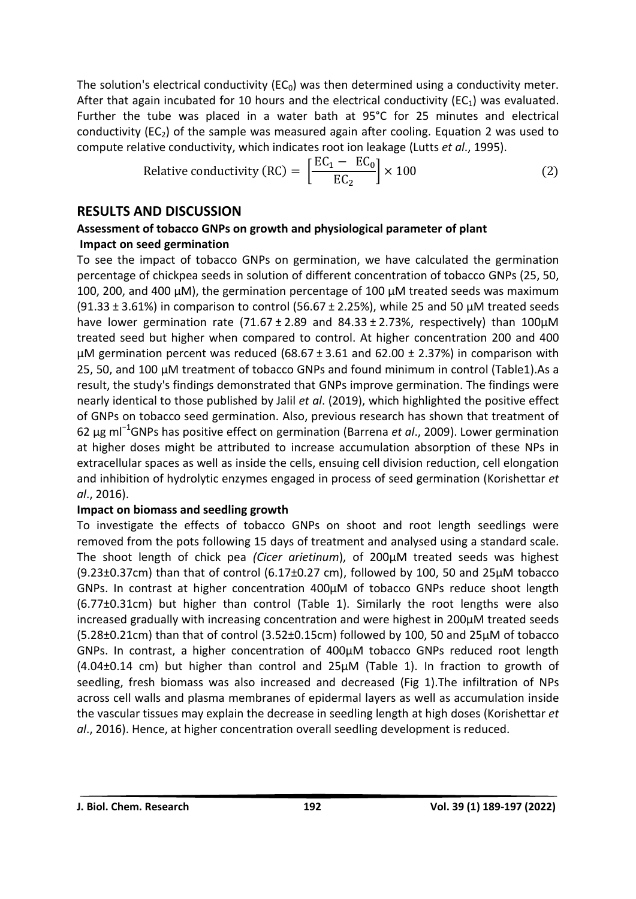The solution's electrical conductivity ( $EC<sub>0</sub>$ ) was then determined using a conductivity meter. After that again incubated for 10 hours and the electrical conductivity ( $EC_1$ ) was evaluated. Further the tube was placed in a water bath at 95°C for 25 minutes and electrical conductivity ( $EC_2$ ) of the sample was measured again after cooling. Equation 2 was used to compute relative conductivity, which indicates root ion leakage (Lutts *et al*., 1995).

Relative conductivity (RC) = 
$$
\left[\frac{EC_1 - EC_0}{EC_2}\right] \times 100
$$
 (2)

#### **RESULTS AND DISCUSSION**

#### **Assessment of tobacco GNPs on growth and physiological parameter of plant Impact on seed germination**

To see the impact of tobacco GNPs on germination, we have calculated the germination percentage of chickpea seeds in solution of different concentration of tobacco GNPs (25, 50, 100, 200, and 400  $\mu$ M), the germination percentage of 100  $\mu$ M treated seeds was maximum (91.33  $\pm$  3.61%) in comparison to control (56.67  $\pm$  2.25%), while 25 and 50 µM treated seeds have lower germination rate (71.67  $\pm$  2.89 and 84.33  $\pm$  2.73%, respectively) than 100 $\mu$ M treated seed but higher when compared to control. At higher concentration 200 and 400  $\mu$ M germination percent was reduced (68.67 ± 3.61 and 62.00 ± 2.37%) in comparison with 25, 50, and 100 µM treatment of tobacco GNPs and found minimum in control (Table1).As a result, the study's findings demonstrated that GNPs improve germination. The findings were nearly identical to those published by Jalil *et al*. (2019), which highlighted the positive effect of GNPs on tobacco seed germination. Also, previous research has shown that treatment of 62 μg ml<sup>−</sup><sup>1</sup>GNPs has positive effect on germination (Barrena *et al*., 2009). Lower germination at higher doses might be attributed to increase accumulation absorption of these NPs in extracellular spaces as well as inside the cells, ensuing cell division reduction, cell elongation and inhibition of hydrolytic enzymes engaged in process of seed germination (Korishettar *et al*., 2016).

#### **Impact on biomass and seedling growth**

To investigate the effects of tobacco GNPs on shoot and root length seedlings were removed from the pots following 15 days of treatment and analysed using a standard scale. The shoot length of chick pea *(Cicer arietinum*), of 200µM treated seeds was highest (9.23 $\pm$ 0.37cm) than that of control (6.17 $\pm$ 0.27 cm), followed by 100, 50 and 25 $\mu$ M tobacco GNPs. In contrast at higher concentration 400µM of tobacco GNPs reduce shoot length (6.77±0.31cm) but higher than control (Table 1). Similarly the root lengths were also increased gradually with increasing concentration and were highest in 200µM treated seeds (5.28±0.21cm) than that of control (3.52±0.15cm) followed by 100, 50 and 25µM of tobacco GNPs. In contrast, a higher concentration of 400µM tobacco GNPs reduced root length (4.04±0.14 cm) but higher than control and 25µM (Table 1). In fraction to growth of seedling, fresh biomass was also increased and decreased (Fig 1).The infiltration of NPs across cell walls and plasma membranes of epidermal layers as well as accumulation inside the vascular tissues may explain the decrease in seedling length at high doses (Korishettar *et al*., 2016). Hence, at higher concentration overall seedling development is reduced.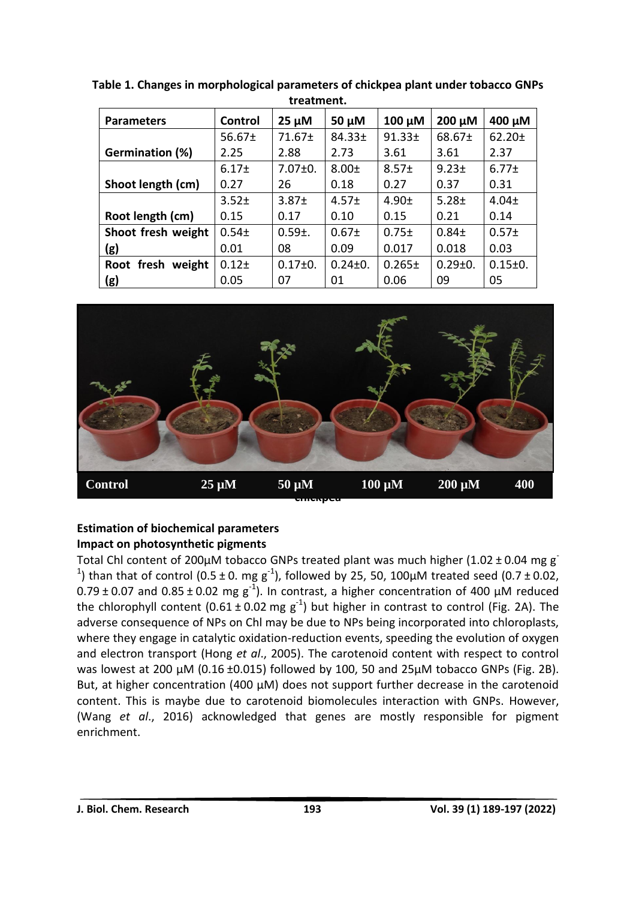| u caunchu              |                   |                   |               |             |               |                   |  |
|------------------------|-------------------|-------------------|---------------|-------------|---------------|-------------------|--|
| <b>Parameters</b>      | Control           | $25 \mu M$        | $50 \mu M$    | $100 \mu M$ | 200 µM        | 400 μM            |  |
|                        | $56.67 \pm$       | $71.67 \pm$       | 84.33±        | $91.33 +$   | 68.67±        | $62.20 +$         |  |
| <b>Germination (%)</b> | 2.25              | 2.88              | 2.73          | 3.61        | 3.61          | 2.37              |  |
|                        | 6.17 <sub>±</sub> | $7.07 \pm 0.$     | $8.00 \pm$    | $8.57+$     | $9.23 +$      | $6.77 \pm$        |  |
| Shoot length (cm)      | 0.27              | 26                | 0.18          | 0.27        | 0.37          | 0.31              |  |
|                        | $3.52+$           | 3.87 <sub>±</sub> | $4.57 \pm$    | 4.90±       | $5.28 \pm$    | $4.04 \pm$        |  |
| Root length (cm)       | 0.15              | 0.17              | 0.10          | 0.15        | 0.21          | 0.14              |  |
| Shoot fresh weight     | $0.54 +$          | $0.59 \pm 0.59$   | $0.67 +$      | $0.75 \pm$  | $0.84 +$      | 0.57 <sub>±</sub> |  |
| (g)                    | 0.01              | 08                | 0.09          | 0.017       | 0.018         | 0.03              |  |
| Root fresh<br>weight   | $0.12 +$          | $0.17 \pm 0.$     | $0.24 \pm 0.$ | $0.265 \pm$ | $0.29 \pm 0.$ | $0.15 \pm 0.$     |  |
| (g)                    | 0.05              | 07                | 01            | 0.06        | 09            | 05                |  |

**Table 1. Changes in morphological parameters of chickpea plant under tobacco GNPs treatment.**



# **Estimation of biochemical parameters Impact on photosynthetic pigments**

Total Chl content of 200µM tobacco GNPs treated plant was much higher (1.02 ± 0.04 mg g<sup>-</sup> <sup>1</sup>) than that of control (0.5 ± 0. mg g<sup>-1</sup>), followed by 25, 50, 100 $\mu$ M treated seed (0.7 ± 0.02,  $0.79 \pm 0.07$  and  $0.85 \pm 0.02$  mg g<sup>-1</sup>). In contrast, a higher concentration of 400 µM reduced the chlorophyll content (0.61  $\pm$  0.02 mg g<sup>-1</sup>) but higher in contrast to control (Fig. 2A). The adverse consequence of NPs on Chl may be due to NPs being incorporated into chloroplasts, where they engage in catalytic oxidation-reduction events, speeding the evolution of oxygen and electron transport (Hong *et al*., 2005). The carotenoid content with respect to control was lowest at 200 µM (0.16 ±0.015) followed by 100, 50 and 25µM tobacco GNPs (Fig. 2B). But, at higher concentration (400 µM) does not support further decrease in the carotenoid content. This is maybe due to carotenoid biomolecules interaction with GNPs. However, (Wang *et al*., 2016) acknowledged that genes are mostly responsible for pigment enrichment.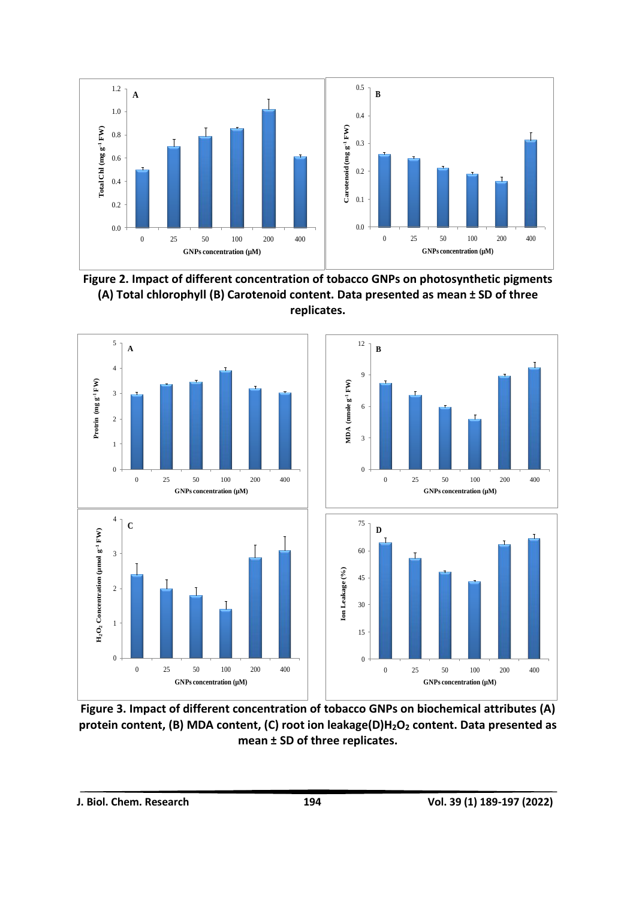

**Figure 2. Impact of different concentration of tobacco GNPs on photosynthetic pigments (A) Total chlorophyll (B) Carotenoid content. Data presented as mean ± SD of three replicates.**



**Figure 3. Impact of different concentration of tobacco GNPs on biochemical attributes (A) protein content, (B) MDA content, (C) root ion leakage(D)H2O<sup>2</sup> content. Data presented as mean ± SD of three replicates.**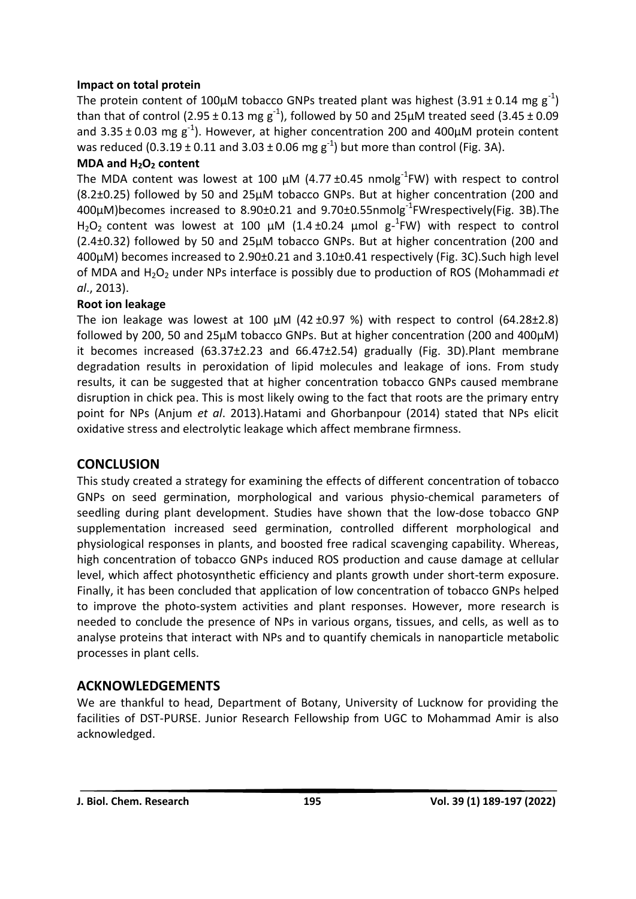#### **Impact on total protein**

The protein content of 100µM tobacco GNPs treated plant was highest (3.91 ± 0.14 mg  $g^{-1}$ ) than that of control (2.95  $\pm$  0.13 mg g<sup>-1</sup>), followed by 50 and 25µM treated seed (3.45  $\pm$  0.09 and 3.35  $\pm$  0.03 mg  $g^{-1}$ ). However, at higher concentration 200 and 400 $\mu$ M protein content was reduced (0.3.19  $\pm$  0.11 and 3.03  $\pm$  0.06 mg g<sup>-1</sup>) but more than control (Fig. 3A).

## **MDA and H2O<sup>2</sup> content**

The MDA content was lowest at 100  $\mu$ M (4.77 ±0.45 nmolg<sup>-1</sup>FW) with respect to control (8.2±0.25) followed by 50 and 25µM tobacco GNPs. But at higher concentration (200 and 400µM)becomes increased to 8.90±0.21 and 9.70±0.55nmolg-1 FWrespectively(Fig. 3B).The H<sub>2</sub>O<sub>2</sub> content was lowest at 100  $\mu$ M (1.4 ±0.24  $\mu$ mol g<sup>-1</sup>FW) with respect to control (2.4±0.32) followed by 50 and 25µM tobacco GNPs. But at higher concentration (200 and 400µM) becomes increased to 2.90±0.21 and 3.10±0.41 respectively (Fig. 3C).Such high level of MDA and H2O<sup>2</sup> under NPs interface is possibly due to production of ROS (Mohammadi *et al*., 2013).

# **Root ion leakage**

The ion leakage was lowest at 100  $\mu$ M (42 ±0.97 %) with respect to control (64.28±2.8) followed by 200, 50 and 25µM tobacco GNPs. But at higher concentration (200 and 400µM) it becomes increased (63.37±2.23 and 66.47±2.54) gradually (Fig. 3D).Plant membrane degradation results in peroxidation of lipid molecules and leakage of ions. From study results, it can be suggested that at higher concentration tobacco GNPs caused membrane disruption in chick pea. This is most likely owing to the fact that roots are the primary entry point for NPs (Anjum *et al*. 2013).Hatami and Ghorbanpour (2014) stated that NPs elicit oxidative stress and electrolytic leakage which affect membrane firmness.

# **CONCLUSION**

This study created a strategy for examining the effects of different concentration of tobacco GNPs on seed germination, morphological and various physio-chemical parameters of seedling during plant development. Studies have shown that the low-dose tobacco GNP supplementation increased seed germination, controlled different morphological and physiological responses in plants, and boosted free radical scavenging capability. Whereas, high concentration of tobacco GNPs induced ROS production and cause damage at cellular level, which affect photosynthetic efficiency and plants growth under short-term exposure. Finally, it has been concluded that application of low concentration of tobacco GNPs helped to improve the photo-system activities and plant responses. However, more research is needed to conclude the presence of NPs in various organs, tissues, and cells, as well as to analyse proteins that interact with NPs and to quantify chemicals in nanoparticle metabolic processes in plant cells.

# **ACKNOWLEDGEMENTS**

We are thankful to head, Department of Botany, University of Lucknow for providing the facilities of DST-PURSE. Junior Research Fellowship from UGC to Mohammad Amir is also acknowledged.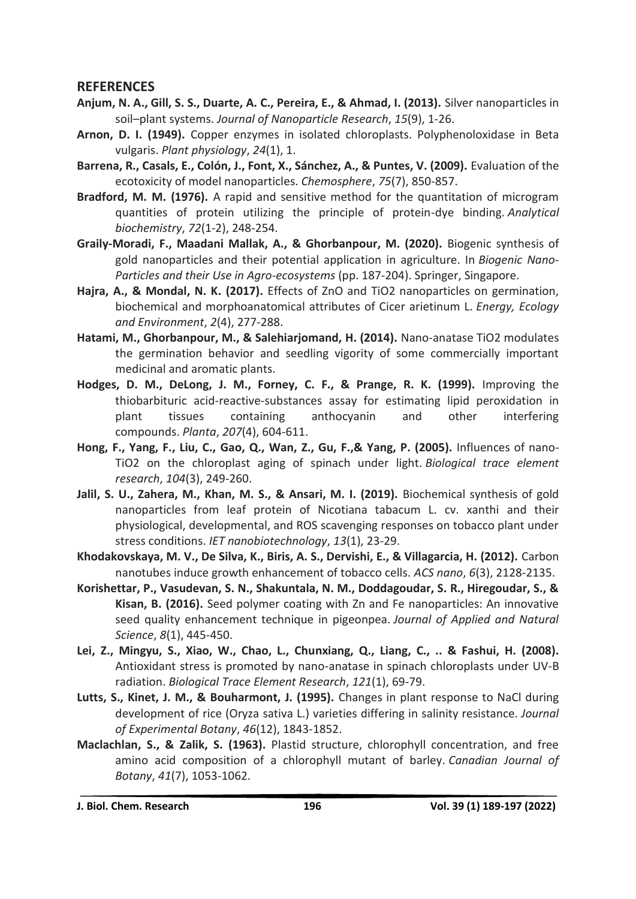#### **REFERENCES**

- **Anjum, N. A., Gill, S. S., Duarte, A. C., Pereira, E., & Ahmad, I. (2013).** Silver nanoparticles in soil–plant systems. *Journal of Nanoparticle Research*, *15*(9), 1-26.
- **Arnon, D. I. (1949).** Copper enzymes in isolated chloroplasts. Polyphenoloxidase in Beta vulgaris. *Plant physiology*, *24*(1), 1.
- **Barrena, R., Casals, E., Colón, J., Font, X., Sánchez, A., & Puntes, V. (2009).** Evaluation of the ecotoxicity of model nanoparticles. *Chemosphere*, *75*(7), 850-857.
- **Bradford, M. M. (1976).** A rapid and sensitive method for the quantitation of microgram quantities of protein utilizing the principle of protein-dye binding. *Analytical biochemistry*, *72*(1-2), 248-254.
- **Graily-Moradi, F., Maadani Mallak, A., & Ghorbanpour, M. (2020).** Biogenic synthesis of gold nanoparticles and their potential application in agriculture. In *Biogenic Nano-Particles and their Use in Agro-ecosystems* (pp. 187-204). Springer, Singapore.
- **Hajra, A., & Mondal, N. K. (2017).** Effects of ZnO and TiO2 nanoparticles on germination, biochemical and morphoanatomical attributes of Cicer arietinum L. *Energy, Ecology and Environment*, *2*(4), 277-288.
- **Hatami, M., Ghorbanpour, M., & Salehiarjomand, H. (2014).** Nano-anatase TiO2 modulates the germination behavior and seedling vigority of some commercially important medicinal and aromatic plants.
- **Hodges, D. M., DeLong, J. M., Forney, C. F., & Prange, R. K. (1999).** Improving the thiobarbituric acid-reactive-substances assay for estimating lipid peroxidation in plant tissues containing anthocyanin and other interfering compounds. *Planta*, *207*(4), 604-611.
- **Hong, F., Yang, F., Liu, C., Gao, Q., Wan, Z., Gu, F.,& Yang, P. (2005).** Influences of nano-TiO2 on the chloroplast aging of spinach under light. *Biological trace element research*, *104*(3), 249-260.
- **Jalil, S. U., Zahera, M., Khan, M. S., & Ansari, M. I. (2019).** Biochemical synthesis of gold nanoparticles from leaf protein of Nicotiana tabacum L. cv. xanthi and their physiological, developmental, and ROS scavenging responses on tobacco plant under stress conditions. *IET nanobiotechnology*, *13*(1), 23-29.
- **Khodakovskaya, M. V., De Silva, K., Biris, A. S., Dervishi, E., & Villagarcia, H. (2012).** Carbon nanotubes induce growth enhancement of tobacco cells. *ACS nano*, *6*(3), 2128-2135.
- **Korishettar, P., Vasudevan, S. N., Shakuntala, N. M., Doddagoudar, S. R., Hiregoudar, S., & Kisan, B. (2016).** Seed polymer coating with Zn and Fe nanoparticles: An innovative seed quality enhancement technique in pigeonpea. *Journal of Applied and Natural Science*, *8*(1), 445-450.
- **Lei, Z., Mingyu, S., Xiao, W., Chao, L., Chunxiang, Q., Liang, C., .. & Fashui, H. (2008).** Antioxidant stress is promoted by nano-anatase in spinach chloroplasts under UV-B radiation. *Biological Trace Element Research*, *121*(1), 69-79.
- **Lutts, S., Kinet, J. M., & Bouharmont, J. (1995).** Changes in plant response to NaCl during development of rice (Oryza sativa L.) varieties differing in salinity resistance. *Journal of Experimental Botany*, *46*(12), 1843-1852.
- **Maclachlan, S., & Zalik, S. (1963).** Plastid structure, chlorophyll concentration, and free amino acid composition of a chlorophyll mutant of barley. *Canadian Journal of Botany*, *41*(7), 1053-1062.